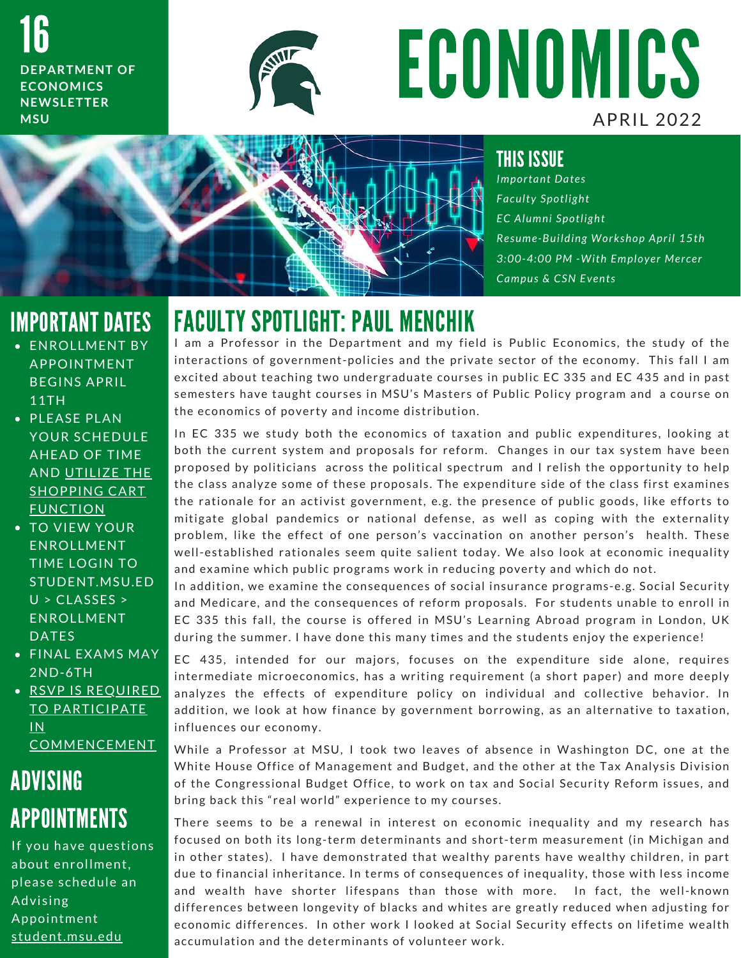16 **DEPARTMENT OF ECONOMICS N E W S L E T T E R M S U**



# ECONOMICS A P R I L 2 0 2 2



#### THIS ISSUE

*I m p o r t a n t D a t e s F a c u l t y S p o t l i g h t E C A l u m n i S p o t l i g h t R e s u m e - B u i l d i n g W o r k s h o p A p r i l 1 5 t h 3 : 0 0 - 4 : 0 0 P M - W i t h E m p l o y e r M e r c e r Campus & CSN Events* 

# IMPORTANT DATES

- **ENROLLMENT BY APPOINTMENT** BEGINS APRIL 11TH
- PLEASE PLAN YOUR SCHEDULE **AHEAD OF TIME** AND UTILIZE THE **SHOPPING CART FUNCTION**
- TO VIEW YOUR ENROLLMENT TIME LOGIN TO STUDENT.MSU.ED  $U > CLASSES >$ ENROLLMENT **DATES**
- FINAL EXAMS MAY 2 N D - 6 T H

· RSVP IS REQUIRED TO PARTICIPATE I N COMMENCEMENT

# ADVISING **APPOINTMENTS**

If you have questions about enrollment, please schedule an Advising Appointment student.msu.edu

FACULTY SPOTLIGHT: PAUL MENCHIK<br>I am a Professor in the Department and my field is Public Economics, the study of the I am a Professor in the Department and my field is Public Economics, the study of the interactions of government-policies and the private sector of the economy. This fall I am excited about teaching two undergraduate cours interactions of government-policies and the private sector of the economy. This fall I am interactions of government-policies and the private sector of the economy. This fall I am<br>excited about teaching two undergraduate courses in public EC 335 and EC 435 and in past<br>semesters have taught courses in MSU's Mast excited about teaching two undergraduate courses<br>semesters have taught courses in MSU's Masters of<br>the economics of poverty and income distribution. the economics of poverty and income distribution.<br>In EC 335 we study both the economics of taxation and public expenditures, looking at

both the current system and proposals for reform. Changes in our tax system have been In EC 335 we study both the economics of taxation and public expenditures, looking at<br>both the current system and proposals for reform. Changes in our tax system have been<br>proposed by politicians across the political spect both the current system and proposals for reform. Changes in our tax system have been<br>proposed by politicians across the political spectrum and I relish the opportunity to help<br>the class analyze some of these proposals. the class analyze some of these proposals. The expenditure side of the class first examines<br>the rationale for an activist government, e.g. the presence of public goods, like efforts to<br>mitigate global pandemics or national the rationale for an activist government, e.g. the presence of public goods, like efforts to the rationale for an activist government, e.g. the presence of public goods, like efforts to<br>mitigate global pandemics or national defense, as well as coping with the externality<br>problem, like the effect of one person's va mitigate global pandemics or national defense, as well as coping with the externality<br>problem, like the effect of one person's vaccination on another person's health. These<br>well-established rationales seem quite salient t well-established rationales seem quite salient today. We also look at economic inequality<br>and examine which public programs work in reducing poverty and which do not. well-established rationales seem quite salient today. We also look at economic inequality<br>and examine which public programs work in reducing poverty and which do not.<br>In addition, we examine the consequences of social insu

and examine which public programs work in reducing poverty and which do not.<br>In addition, we examine the consequences of social insurance programs-e.g. Social Security<br>and Medicare, and the consequences of reform proposals In addition, we examine the consequences of social insurance programs-e.g. Social Security<br>and Medicare, and the consequences of reform proposals. For students unable to enroll in<br>EC 335 this fall, the course is offered in and Medicare, and the consequences of reform proposals. For students unable to enroll<br>EC 335 this fall, the course is offered in MSU's Learning Abroad program in London, L<br>during the summer. I have done this many times an during the summer. I have done this many times and the students enjoy the experience!<br>EC 435, intended for our majors, focuses on the expenditure side alone, requires

EC 435, intended for our majors, focuses on the expenditure side alone, requires<br>intermediate microeconomics, has a writing requirement (a short paper) and more deeply EC 435, intended for our majors, focuses on the expenditure side alone, requires<br>intermediate microeconomics, has a writing requirement (a short paper) and more deeply<br>analyzes the effects of expenditure policy on individu intermediate microeconomics, has a writing requirement (a short paper) and more deeply<br>analyzes the effects of expenditure policy on individual and collective behavior. In<br>addition, we look at how finance by government bor analyzes the effects of expenditure policy on individual and collective behavior. In<br>addition, we look at how finance by government borrowing, as an alternative to taxation,<br>influences our economy.<br>While a Professor at MSU

influences our economy.<br>While a Professor at MSU, I took two leaves of absence in Washington DC, one at the<br>White House Office of Management and Budget, and the other at the Tax Analysis Division While a Professor at MSU, I took two leaves of absence in Washington DC, one at the<br>White House Office of Management and Budget, and the other at the Tax Analysis Division<br>of the Congressional Budget Office, to work on tax White House Office of Management and Budget, and th<br>of the Congressional Budget Office, to work on tax an<br>bring back this "real world" experience to my courses. The congressional badget office, to work on tax and social security reform issues, and<br>thing back this "real world" experience to my courses.<br>There seems to be a renewal in interest on economic inequality and my research h

forms back this fear world experience to my courses.<br>There seems to be a renewal in interest on economic inequality and my research has<br>focused on both its long-term determinants and short-term measurement (in Michigan and There seems to be a renewal in interest on economic inequality and my research has<br>focused on both its long-term determinants and short-term measurement (in Michigan and<br>in other states). I have demonstrated that wealthy p focused on both its long-term determinants and short-term measurement (in Michigan and<br>in other states). I have demonstrated that wealthy parents have wealthy children, in part<br>due to financial inheritance. In terms of con due to financial inheritance. In terms of consequences of inequality, those with less income<br>and wealth have shorter lifespans than those with more. In fact, the well-known<br>differences between longevity of blacks and white and wealth have shorter lifespans than those with more. In fact, the well-known and wealth have shorter lifespans than those with more. In fact, the well-known<br>differences between longevity of blacks and whites are greatly reduced when adjusting for<br>economic differences. In other work I looked at Soci differences between longevity of blacks and whites are<br>economic differences. In other work I looked at Social<br>accumulation and the determinants of volunteer work.